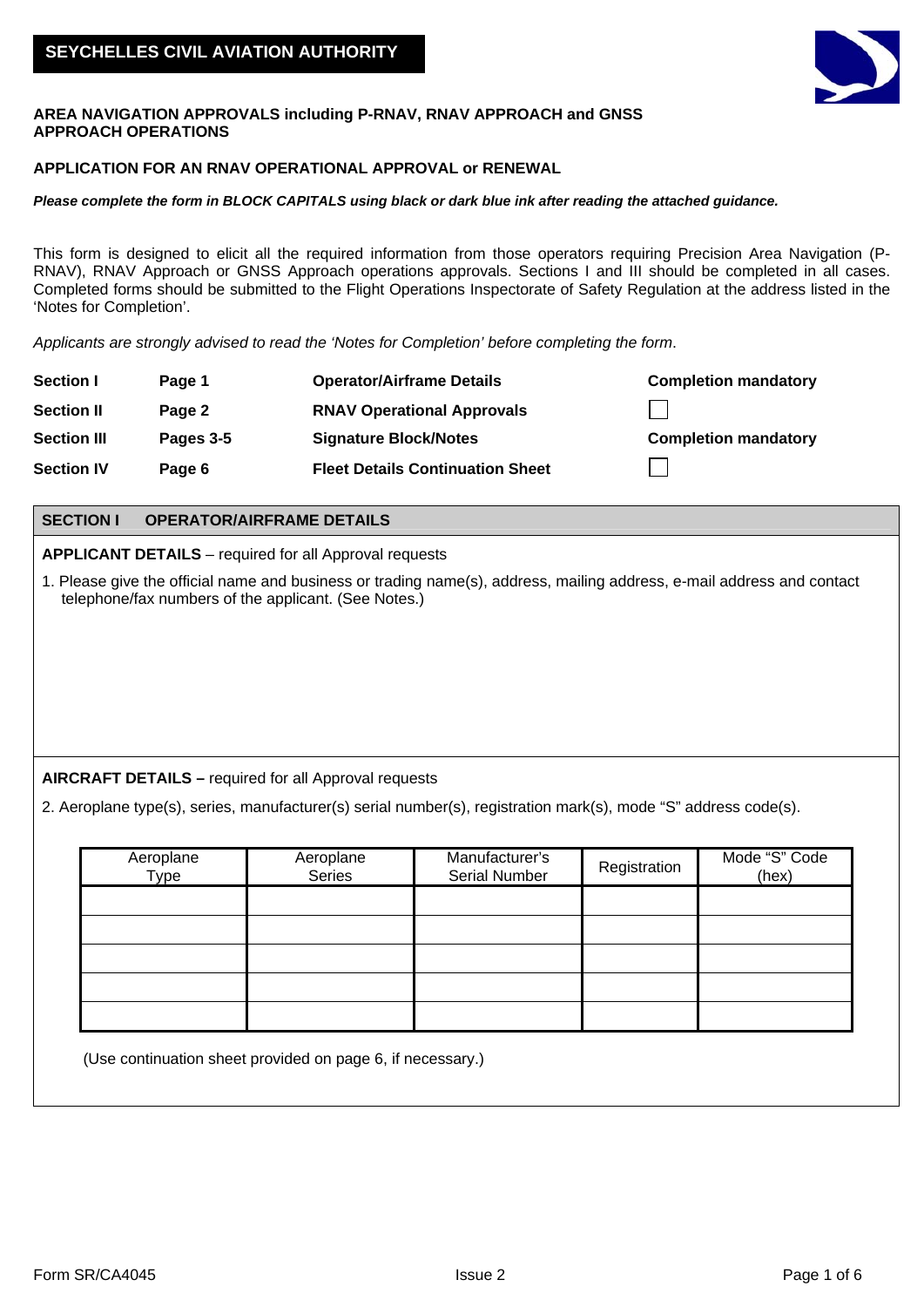

#### **AREA NAVIGATION APPROVALS including P-RNAV, RNAV APPROACH and GNSS APPROACH OPERATIONS**

## **APPLICATION FOR AN RNAV OPERATIONAL APPROVAL or RENEWAL**

#### *Please complete the form in BLOCK CAPITALS using black or dark blue ink after reading the attached guidance.*

This form is designed to elicit all the required information from those operators requiring Precision Area Navigation (P-RNAV), RNAV Approach or GNSS Approach operations approvals. Sections I and III should be completed in all cases. Completed forms should be submitted to the Flight Operations Inspectorate of Safety Regulation at the address listed in the 'Notes for Completion'.

*Applicants are strongly advised to read the 'Notes for Completion' before completing the form*.

| <b>Section I</b>   | Page 1    | <b>Operator/Airframe Details</b>        | <b>Completion mandatory</b> |
|--------------------|-----------|-----------------------------------------|-----------------------------|
| <b>Section II</b>  | Page 2    | <b>RNAV Operational Approvals</b>       |                             |
| <b>Section III</b> | Pages 3-5 | <b>Signature Block/Notes</b>            | <b>Completion mandatory</b> |
| <b>Section IV</b>  | Page 6    | <b>Fleet Details Continuation Sheet</b> |                             |

## **SECTION I OPERATOR/AIRFRAME DETAILS**

**APPLICANT DETAILS** – required for all Approval requests

1. Please give the official name and business or trading name(s), address, mailing address, e-mail address and contact telephone/fax numbers of the applicant. (See Notes.)

# **AIRCRAFT DETAILS –** required for all Approval requests

2. Aeroplane type(s), series, manufacturer(s) serial number(s), registration mark(s), mode "S" address code(s).

| Aeroplane<br>Type | Aeroplane<br>Series | Manufacturer's<br><b>Serial Number</b> | Registration | Mode "S" Code<br>(hex) |
|-------------------|---------------------|----------------------------------------|--------------|------------------------|
|                   |                     |                                        |              |                        |
|                   |                     |                                        |              |                        |
|                   |                     |                                        |              |                        |
|                   |                     |                                        |              |                        |
|                   |                     |                                        |              |                        |

(Use continuation sheet provided on page 6, if necessary.)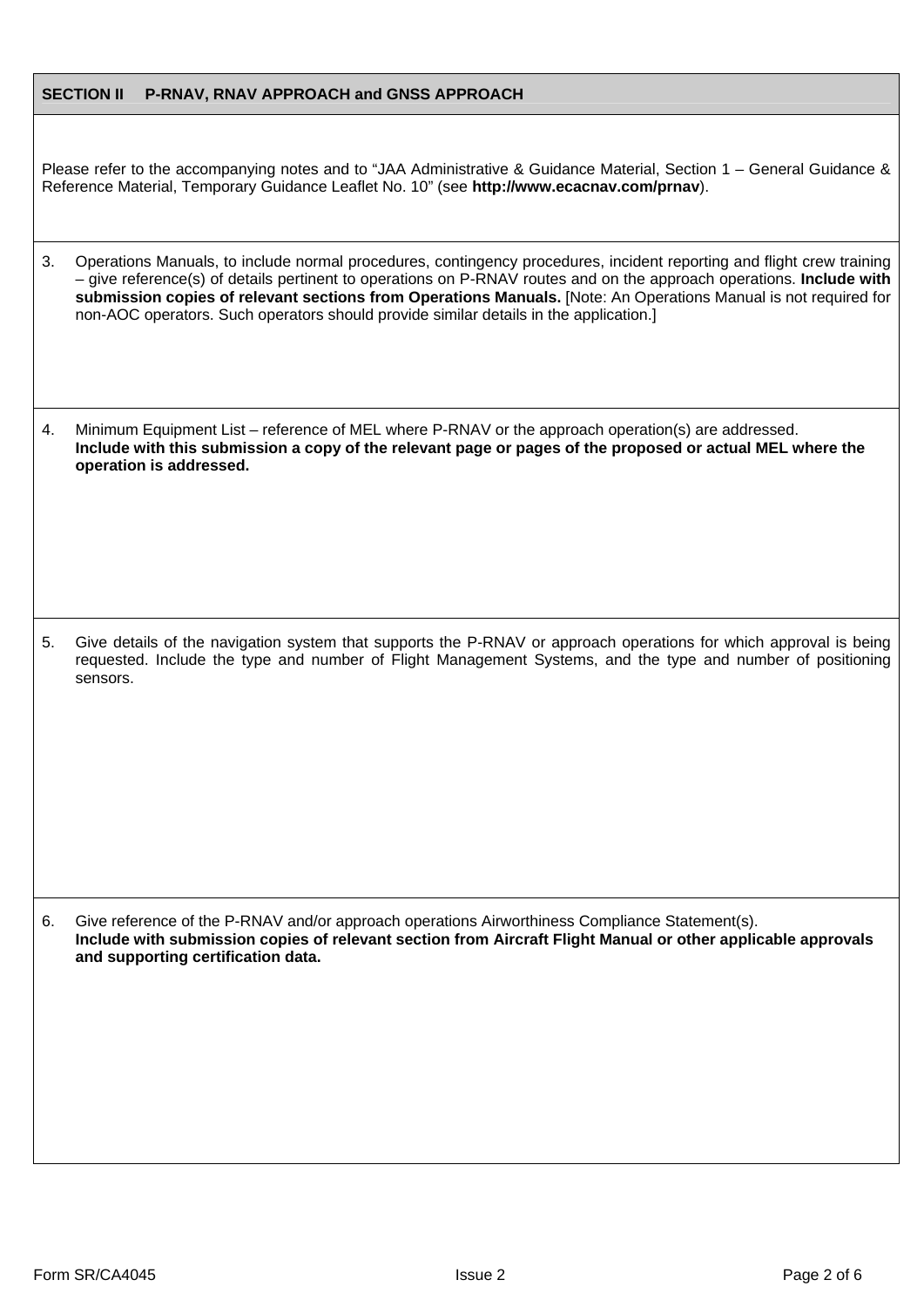## **SECTION II P-RNAV, RNAV APPROACH and GNSS APPROACH**

Please refer to the accompanying notes and to "JAA Administrative & Guidance Material, Section 1 – General Guidance & Reference Material, Temporary Guidance Leaflet No. 10" (see **http://www.ecacnav.com/prnav**).

- 3. Operations Manuals, to include normal procedures, contingency procedures, incident reporting and flight crew training – give reference(s) of details pertinent to operations on P-RNAV routes and on the approach operations. **Include with submission copies of relevant sections from Operations Manuals.** [Note: An Operations Manual is not required for non-AOC operators. Such operators should provide similar details in the application.]
- 4. Minimum Equipment List reference of MEL where P-RNAV or the approach operation(s) are addressed. **Include with this submission a copy of the relevant page or pages of the proposed or actual MEL where the operation is addressed.**

5. Give details of the navigation system that supports the P-RNAV or approach operations for which approval is being requested. Include the type and number of Flight Management Systems, and the type and number of positioning sensors.

6. Give reference of the P-RNAV and/or approach operations Airworthiness Compliance Statement(s). **Include with submission copies of relevant section from Aircraft Flight Manual or other applicable approvals and supporting certification data.**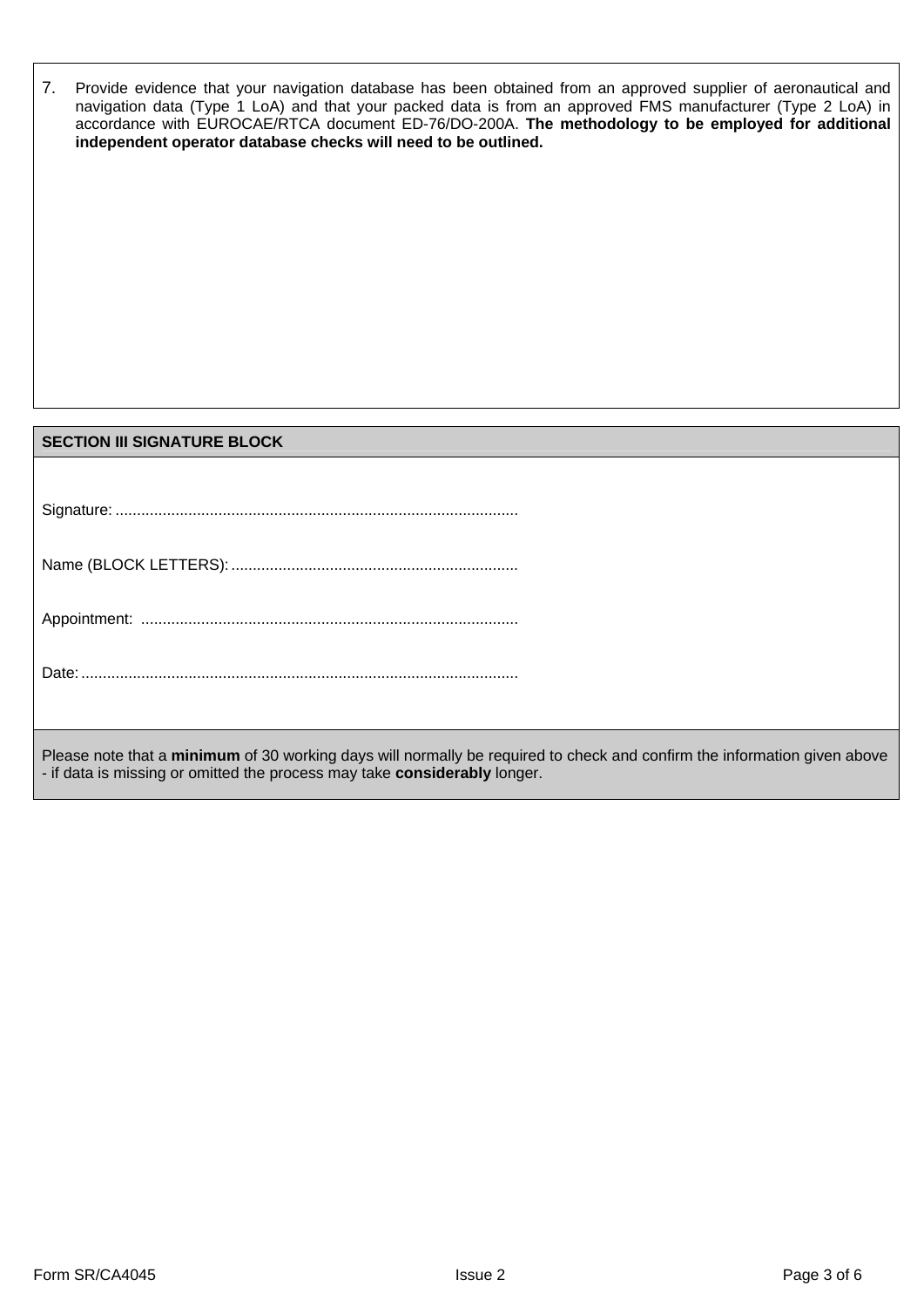| 7. | Provide evidence that your navigation database has been obtained from an approved supplier of aeronautical and<br>navigation data (Type 1 LoA) and that your packed data is from an approved FMS manufacturer (Type 2 LoA) in<br>accordance with EUROCAE/RTCA document ED-76/DO-200A. The methodology to be employed for additional<br>independent operator database checks will need to be outlined. |
|----|-------------------------------------------------------------------------------------------------------------------------------------------------------------------------------------------------------------------------------------------------------------------------------------------------------------------------------------------------------------------------------------------------------|
|    |                                                                                                                                                                                                                                                                                                                                                                                                       |
|    |                                                                                                                                                                                                                                                                                                                                                                                                       |
|    |                                                                                                                                                                                                                                                                                                                                                                                                       |
|    |                                                                                                                                                                                                                                                                                                                                                                                                       |
|    | <b>SECTION III SIGNATURE BLOCK</b>                                                                                                                                                                                                                                                                                                                                                                    |
|    |                                                                                                                                                                                                                                                                                                                                                                                                       |
|    |                                                                                                                                                                                                                                                                                                                                                                                                       |

|--|

Please note that a **minimum** of 30 working days will normally be required to check and confirm the information given above - if data is missing or omitted the process may take **considerably** longer.

 $\mathbf{I}$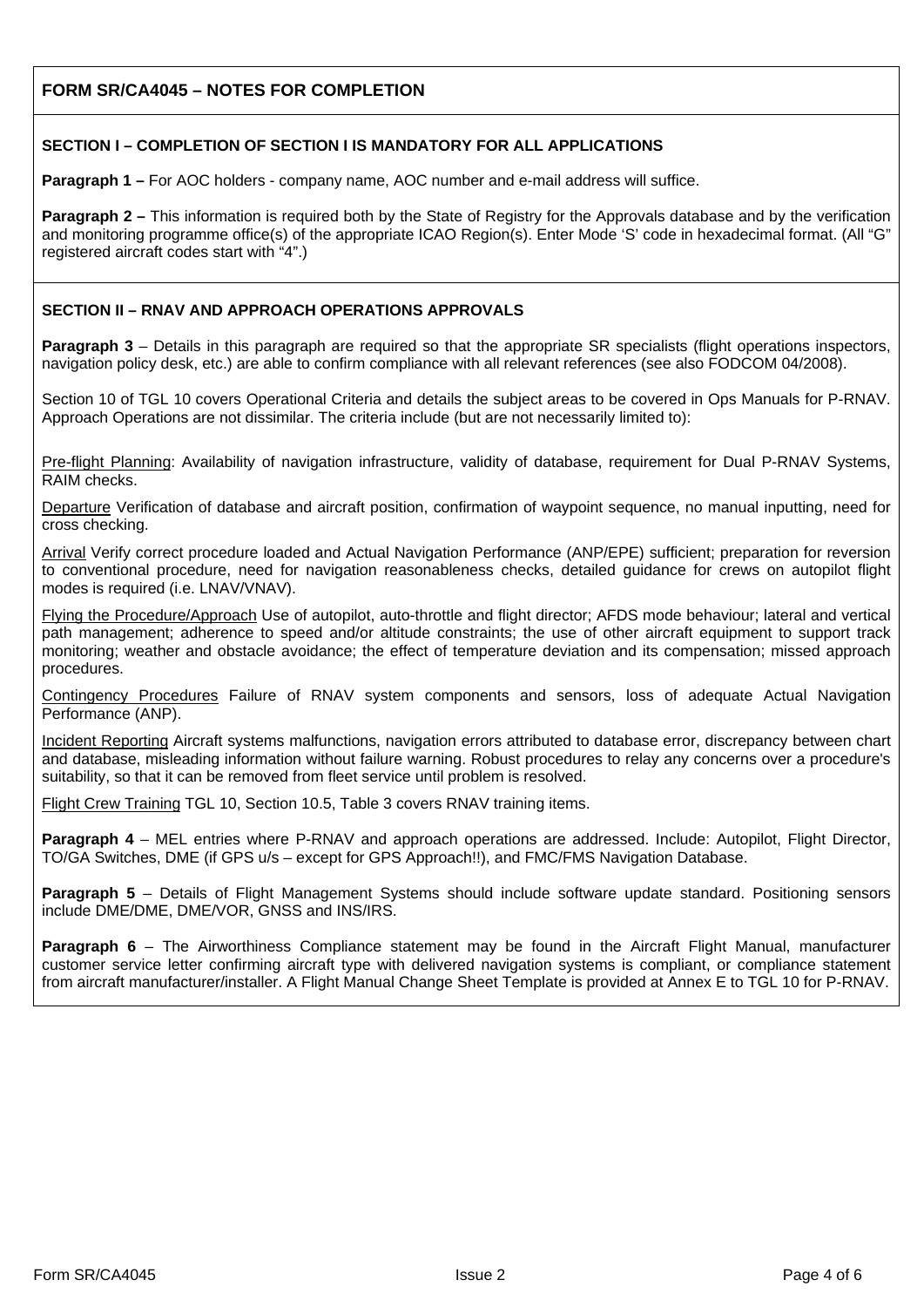# **FORM SR/CA4045 – NOTES FOR COMPLETION**

## **SECTION I – COMPLETION OF SECTION I IS MANDATORY FOR ALL APPLICATIONS**

**Paragraph 1 –** For AOC holders - company name, AOC number and e-mail address will suffice.

**Paragraph 2 –** This information is required both by the State of Registry for the Approvals database and by the verification and monitoring programme office(s) of the appropriate ICAO Region(s). Enter Mode 'S' code in hexadecimal format. (All "G" registered aircraft codes start with "4".)

## **SECTION II – RNAV AND APPROACH OPERATIONS APPROVALS**

**Paragraph 3** – Details in this paragraph are required so that the appropriate SR specialists (flight operations inspectors, navigation policy desk, etc.) are able to confirm compliance with all relevant references (see also FODCOM 04/2008).

Section 10 of TGL 10 covers Operational Criteria and details the subject areas to be covered in Ops Manuals for P-RNAV. Approach Operations are not dissimilar. The criteria include (but are not necessarily limited to):

Pre-flight Planning: Availability of navigation infrastructure, validity of database, requirement for Dual P-RNAV Systems, RAIM checks.

Departure Verification of database and aircraft position, confirmation of waypoint sequence, no manual inputting, need for cross checking.

Arrival Verify correct procedure loaded and Actual Navigation Performance (ANP/EPE) sufficient; preparation for reversion to conventional procedure, need for navigation reasonableness checks, detailed guidance for crews on autopilot flight modes is required (i.e. LNAV/VNAV).

Flying the Procedure/Approach Use of autopilot, auto-throttle and flight director; AFDS mode behaviour; lateral and vertical path management; adherence to speed and/or altitude constraints; the use of other aircraft equipment to support track monitoring; weather and obstacle avoidance; the effect of temperature deviation and its compensation; missed approach procedures.

Contingency Procedures Failure of RNAV system components and sensors, loss of adequate Actual Navigation Performance (ANP).

Incident Reporting Aircraft systems malfunctions, navigation errors attributed to database error, discrepancy between chart and database, misleading information without failure warning. Robust procedures to relay any concerns over a procedure's suitability, so that it can be removed from fleet service until problem is resolved.

Flight Crew Training TGL 10, Section 10.5, Table 3 covers RNAV training items.

**Paragraph 4** – MEL entries where P-RNAV and approach operations are addressed. Include: Autopilot, Flight Director, TO/GA Switches, DME (if GPS u/s – except for GPS Approach!!), and FMC/FMS Navigation Database.

**Paragraph 5** – Details of Flight Management Systems should include software update standard. Positioning sensors include DME/DME, DME/VOR, GNSS and INS/IRS.

**Paragraph 6** – The Airworthiness Compliance statement may be found in the Aircraft Flight Manual, manufacturer customer service letter confirming aircraft type with delivered navigation systems is compliant, or compliance statement from aircraft manufacturer/installer. A Flight Manual Change Sheet Template is provided at Annex E to TGL 10 for P-RNAV.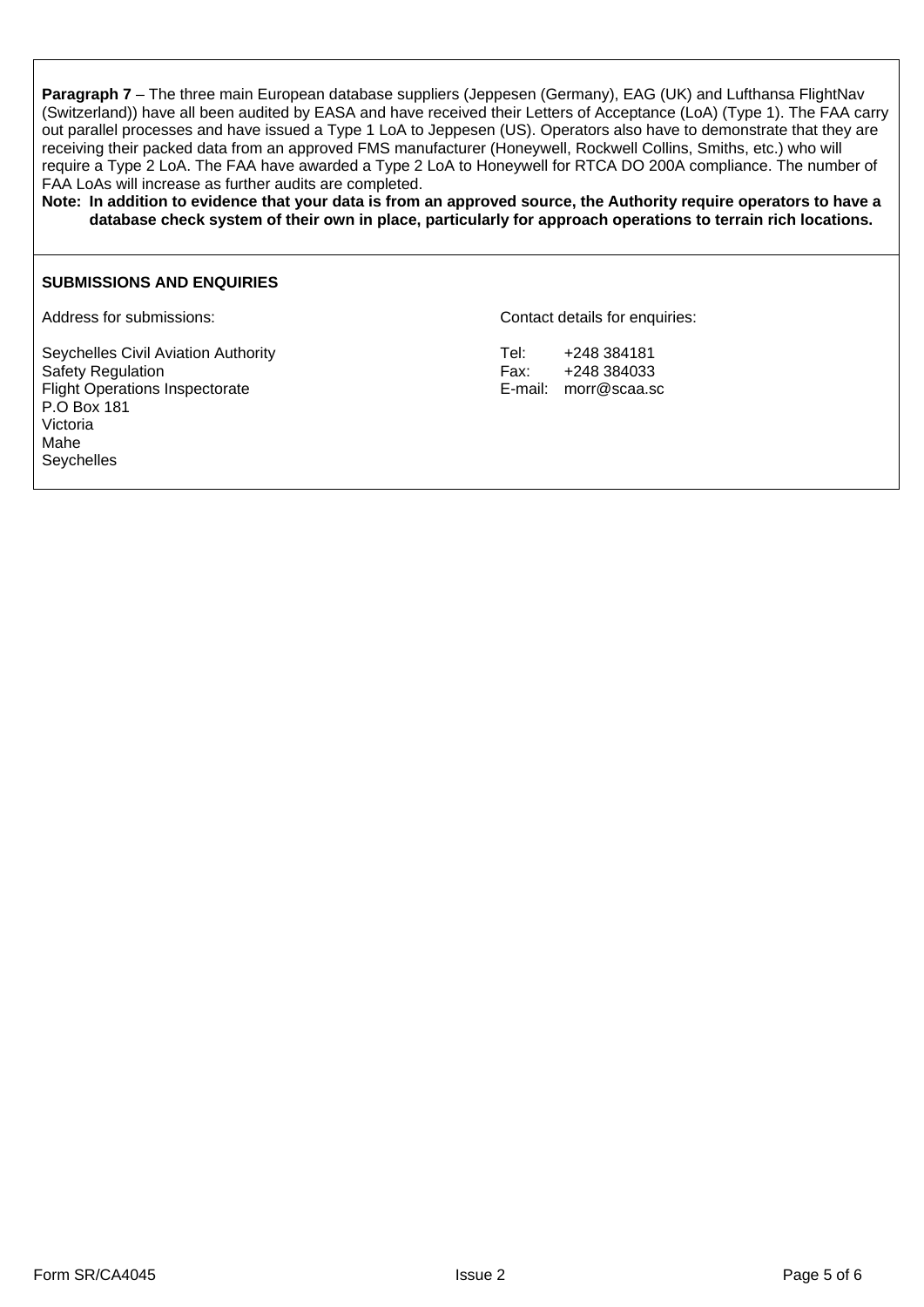**Paragraph 7** – The three main European database suppliers (Jeppesen (Germany), EAG (UK) and Lufthansa FlightNav (Switzerland)) have all been audited by EASA and have received their Letters of Acceptance (LoA) (Type 1). The FAA carry out parallel processes and have issued a Type 1 LoA to Jeppesen (US). Operators also have to demonstrate that they are receiving their packed data from an approved FMS manufacturer (Honeywell, Rockwell Collins, Smiths, etc.) who will require a Type 2 LoA. The FAA have awarded a Type 2 LoA to Honeywell for RTCA DO 200A compliance. The number of FAA LoAs will increase as further audits are completed.

**Note: In addition to evidence that your data is from an approved source, the Authority require operators to have a database check system of their own in place, particularly for approach operations to terrain rich locations.**

## **SUBMISSIONS AND ENQUIRIES**

Seychelles Civil Aviation Authority **Tel:** +248 384181 Safety Regulation **Fax:** +248 384033<br>Flight Operations Inspectorate **Fax:** Fight Operations Inspectorate **Fax:** E-mail: morr@scaa.sc Flight Operations Inspectorate P.O Box 181 Victoria Mahe Seychelles

Address for submissions:  $\blacksquare$